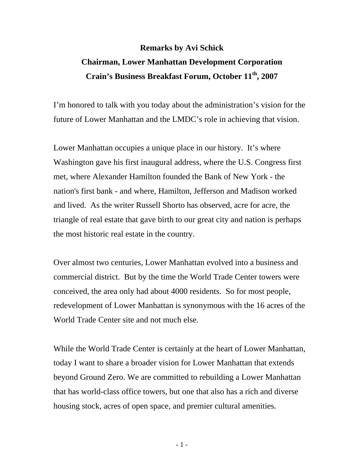## **Remarks by Avi Schick Chairman, Lower Manhattan Development Corporation Crain's Business Breakfast Forum, October 11th, 2007**

I'm honored to talk with you today about the administration's vision for the future of Lower Manhattan and the LMDC's role in achieving that vision.

Lower Manhattan occupies a unique place in our history. It's where Washington gave his first inaugural address, where the U.S. Congress first met, where Alexander Hamilton founded the Bank of New York - the nation's first bank - and where, Hamilton, Jefferson and Madison worked and lived. As the writer Russell Shorto has observed, acre for acre, the triangle of real estate that gave birth to our great city and nation is perhaps the most historic real estate in the country.

Over almost two centuries, Lower Manhattan evolved into a business and commercial district. But by the time the World Trade Center towers were conceived, the area only had about 4000 residents. So for most people, redevelopment of Lower Manhattan is synonymous with the 16 acres of the World Trade Center site and not much else.

While the World Trade Center is certainly at the heart of Lower Manhattan, today I want to share a broader vision for Lower Manhattan that extends beyond Ground Zero. We are committed to rebuilding a Lower Manhattan that has world-class office towers, but one that also has a rich and diverse housing stock, acres of open space, and premier cultural amenities.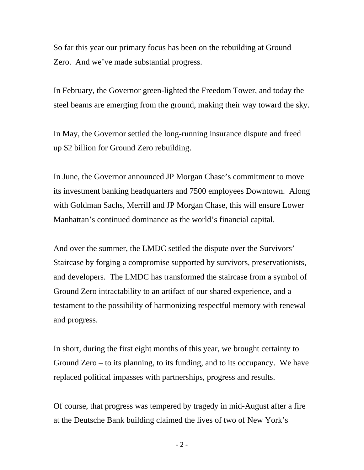So far this year our primary focus has been on the rebuilding at Ground Zero. And we've made substantial progress.

In February, the Governor green-lighted the Freedom Tower, and today the steel beams are emerging from the ground, making their way toward the sky.

In May, the Governor settled the long-running insurance dispute and freed up \$2 billion for Ground Zero rebuilding.

In June, the Governor announced JP Morgan Chase's commitment to move its investment banking headquarters and 7500 employees Downtown. Along with Goldman Sachs, Merrill and JP Morgan Chase, this will ensure Lower Manhattan's continued dominance as the world's financial capital.

And over the summer, the LMDC settled the dispute over the Survivors' Staircase by forging a compromise supported by survivors, preservationists, and developers. The LMDC has transformed the staircase from a symbol of Ground Zero intractability to an artifact of our shared experience, and a testament to the possibility of harmonizing respectful memory with renewal and progress.

In short, during the first eight months of this year, we brought certainty to Ground Zero – to its planning, to its funding, and to its occupancy. We have replaced political impasses with partnerships, progress and results.

Of course, that progress was tempered by tragedy in mid-August after a fire at the Deutsche Bank building claimed the lives of two of New York's

 $-2-$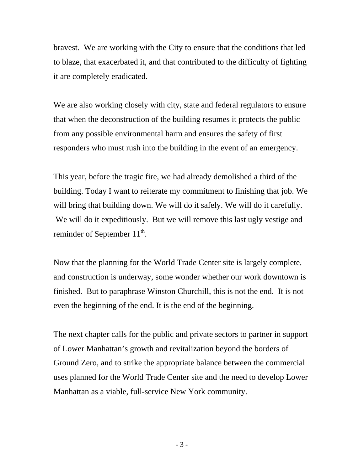bravest. We are working with the City to ensure that the conditions that led to blaze, that exacerbated it, and that contributed to the difficulty of fighting it are completely eradicated.

We are also working closely with city, state and federal regulators to ensure that when the deconstruction of the building resumes it protects the public from any possible environmental harm and ensures the safety of first responders who must rush into the building in the event of an emergency.

This year, before the tragic fire, we had already demolished a third of the building. Today I want to reiterate my commitment to finishing that job. We will bring that building down. We will do it safely. We will do it carefully. We will do it expeditiously. But we will remove this last ugly vestige and reminder of September  $11<sup>th</sup>$ .

Now that the planning for the World Trade Center site is largely complete, and construction is underway, some wonder whether our work downtown is finished. But to paraphrase Winston Churchill, this is not the end. It is not even the beginning of the end. It is the end of the beginning.

The next chapter calls for the public and private sectors to partner in support of Lower Manhattan's growth and revitalization beyond the borders of Ground Zero, and to strike the appropriate balance between the commercial uses planned for the World Trade Center site and the need to develop Lower Manhattan as a viable, full-service New York community.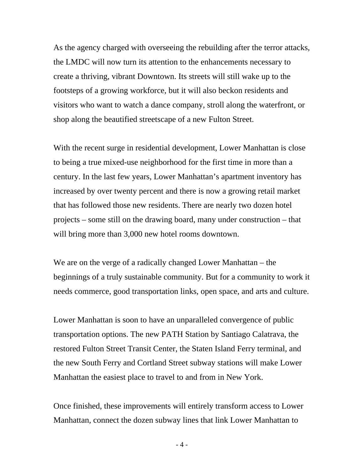As the agency charged with overseeing the rebuilding after the terror attacks, the LMDC will now turn its attention to the enhancements necessary to create a thriving, vibrant Downtown. Its streets will still wake up to the footsteps of a growing workforce, but it will also beckon residents and visitors who want to watch a dance company, stroll along the waterfront, or shop along the beautified streetscape of a new Fulton Street.

With the recent surge in residential development, Lower Manhattan is close to being a true mixed-use neighborhood for the first time in more than a century. In the last few years, Lower Manhattan's apartment inventory has increased by over twenty percent and there is now a growing retail market that has followed those new residents. There are nearly two dozen hotel projects – some still on the drawing board, many under construction – that will bring more than 3,000 new hotel rooms downtown.

We are on the verge of a radically changed Lower Manhattan – the beginnings of a truly sustainable community. But for a community to work it needs commerce, good transportation links, open space, and arts and culture.

Lower Manhattan is soon to have an unparalleled convergence of public transportation options. The new PATH Station by Santiago Calatrava, the restored Fulton Street Transit Center, the Staten Island Ferry terminal, and the new South Ferry and Cortland Street subway stations will make Lower Manhattan the easiest place to travel to and from in New York.

Once finished, these improvements will entirely transform access to Lower Manhattan, connect the dozen subway lines that link Lower Manhattan to

 $-4-$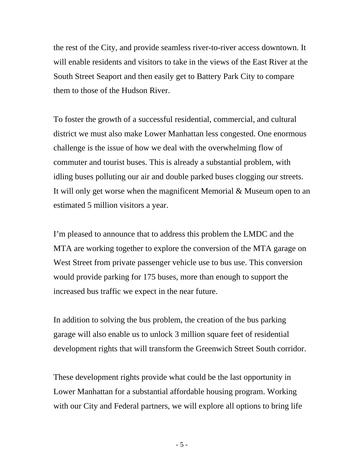the rest of the City, and provide seamless river-to-river access downtown. It will enable residents and visitors to take in the views of the East River at the South Street Seaport and then easily get to Battery Park City to compare them to those of the Hudson River.

To foster the growth of a successful residential, commercial, and cultural district we must also make Lower Manhattan less congested. One enormous challenge is the issue of how we deal with the overwhelming flow of commuter and tourist buses. This is already a substantial problem, with idling buses polluting our air and double parked buses clogging our streets. It will only get worse when the magnificent Memorial & Museum open to an estimated 5 million visitors a year.

I'm pleased to announce that to address this problem the LMDC and the MTA are working together to explore the conversion of the MTA garage on West Street from private passenger vehicle use to bus use. This conversion would provide parking for 175 buses, more than enough to support the increased bus traffic we expect in the near future.

In addition to solving the bus problem, the creation of the bus parking garage will also enable us to unlock 3 million square feet of residential development rights that will transform the Greenwich Street South corridor.

These development rights provide what could be the last opportunity in Lower Manhattan for a substantial affordable housing program. Working with our City and Federal partners, we will explore all options to bring life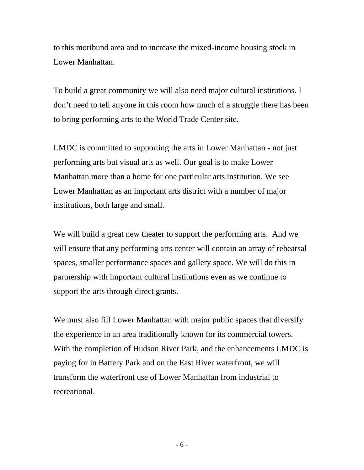to this moribund area and to increase the mixed-income housing stock in Lower Manhattan.

To build a great community we will also need major cultural institutions. I don't need to tell anyone in this room how much of a struggle there has been to bring performing arts to the World Trade Center site.

LMDC is committed to supporting the arts in Lower Manhattan - not just performing arts but visual arts as well. Our goal is to make Lower Manhattan more than a home for one particular arts institution. We see Lower Manhattan as an important arts district with a number of major institutions, both large and small.

We will build a great new theater to support the performing arts. And we will ensure that any performing arts center will contain an array of rehearsal spaces, smaller performance spaces and gallery space. We will do this in partnership with important cultural institutions even as we continue to support the arts through direct grants.

We must also fill Lower Manhattan with major public spaces that diversify the experience in an area traditionally known for its commercial towers. With the completion of Hudson River Park, and the enhancements LMDC is paying for in Battery Park and on the East River waterfront, we will transform the waterfront use of Lower Manhattan from industrial to recreational.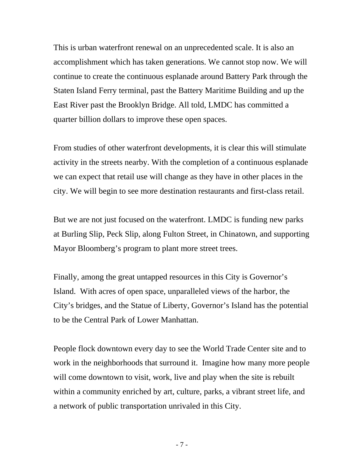This is urban waterfront renewal on an unprecedented scale. It is also an accomplishment which has taken generations. We cannot stop now. We will continue to create the continuous esplanade around Battery Park through the Staten Island Ferry terminal, past the Battery Maritime Building and up the East River past the Brooklyn Bridge. All told, LMDC has committed a quarter billion dollars to improve these open spaces.

From studies of other waterfront developments, it is clear this will stimulate activity in the streets nearby. With the completion of a continuous esplanade we can expect that retail use will change as they have in other places in the city. We will begin to see more destination restaurants and first-class retail.

But we are not just focused on the waterfront. LMDC is funding new parks at Burling Slip, Peck Slip, along Fulton Street, in Chinatown, and supporting Mayor Bloomberg's program to plant more street trees.

Finally, among the great untapped resources in this City is Governor's Island. With acres of open space, unparalleled views of the harbor, the City's bridges, and the Statue of Liberty, Governor's Island has the potential to be the Central Park of Lower Manhattan.

People flock downtown every day to see the World Trade Center site and to work in the neighborhoods that surround it. Imagine how many more people will come downtown to visit, work, live and play when the site is rebuilt within a community enriched by art, culture, parks, a vibrant street life, and a network of public transportation unrivaled in this City.